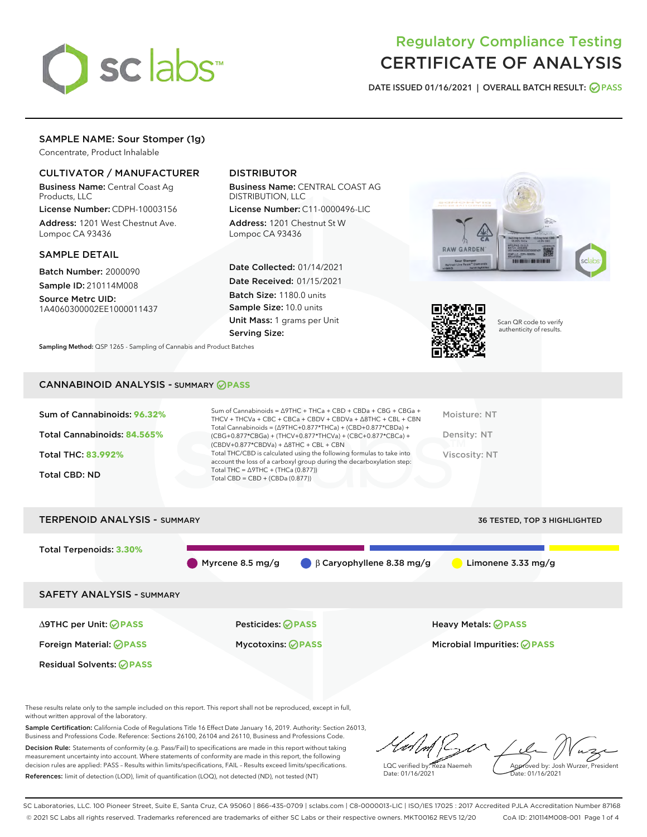

## Regulatory Compliance Testing CERTIFICATE OF ANALYSIS

DATE ISSUED 01/16/2021 | OVERALL BATCH RESULT: @ PASS

## SAMPLE NAME: Sour Stomper (1g)

Concentrate, Product Inhalable

## CULTIVATOR / MANUFACTURER

Business Name: Central Coast Ag Products, LLC

License Number: CDPH-10003156 Address: 1201 West Chestnut Ave. Lompoc CA 93436

## SAMPLE DETAIL

Batch Number: 2000090 Sample ID: 210114M008

Source Metrc UID: 1A4060300002EE1000011437

## DISTRIBUTOR

Business Name: CENTRAL COAST AG DISTRIBUTION, LLC

License Number: C11-0000496-LIC Address: 1201 Chestnut St W Lompoc CA 93436

Date Collected: 01/14/2021 Date Received: 01/15/2021 Batch Size: 1180.0 units Sample Size: 10.0 units Unit Mass: 1 grams per Unit Serving Size:





Scan QR code to verify authenticity of results.

CANNABINOID ANALYSIS - SUMMARY **PASS**

Sampling Method: QSP 1265 - Sampling of Cannabis and Product Batches

| Total Cannabinoids = $(\Delta 9THC+0.877*THCa) + (CBD+0.877*CBDa) +$<br>Total Cannabinoids: 84.565%<br>Density: NT<br>(CBG+0.877*CBGa) + (THCV+0.877*THCVa) + (CBC+0.877*CBCa) +<br>$(CBDV+0.877*CBDVa) + \Delta 8THC + CBL + CBN$<br>Total THC/CBD is calculated using the following formulas to take into<br><b>Total THC: 83.992%</b><br>Viscosity: NT<br>account the loss of a carboxyl group during the decarboxylation step:<br>Total THC = $\triangle$ 9THC + (THCa (0.877))<br><b>Total CBD: ND</b><br>Total CBD = CBD + (CBDa $(0.877)$ ) | Sum of Cannabinoids: 96.32% | Sum of Cannabinoids = ∆9THC + THCa + CBD + CBDa + CBG + CBGa +<br>THCV + THCVa + CBC + CBCa + CBDV + CBDVa + $\Delta$ 8THC + CBL + CBN | Moisture: NT |
|----------------------------------------------------------------------------------------------------------------------------------------------------------------------------------------------------------------------------------------------------------------------------------------------------------------------------------------------------------------------------------------------------------------------------------------------------------------------------------------------------------------------------------------------------|-----------------------------|----------------------------------------------------------------------------------------------------------------------------------------|--------------|
|                                                                                                                                                                                                                                                                                                                                                                                                                                                                                                                                                    |                             |                                                                                                                                        |              |
|                                                                                                                                                                                                                                                                                                                                                                                                                                                                                                                                                    |                             |                                                                                                                                        |              |
|                                                                                                                                                                                                                                                                                                                                                                                                                                                                                                                                                    |                             |                                                                                                                                        |              |

# TERPENOID ANALYSIS - SUMMARY 36 TESTED, TOP 3 HIGHLIGHTED Total Terpenoids: **3.30%** Myrcene 8.5 mg/g  $\beta$  Caryophyllene 8.38 mg/g Limonene 3.33 mg/g SAFETY ANALYSIS - SUMMARY ∆9THC per Unit: **PASS** Pesticides: **PASS** Heavy Metals: **PASS** Foreign Material: **PASS** Mycotoxins: **PASS** Microbial Impurities: **PASS** Residual Solvents: **OPASS**

These results relate only to the sample included on this report. This report shall not be reproduced, except in full, without written approval of the laboratory.

Sample Certification: California Code of Regulations Title 16 Effect Date January 16, 2019. Authority: Section 26013, Business and Professions Code. Reference: Sections 26100, 26104 and 26110, Business and Professions Code.

Decision Rule: Statements of conformity (e.g. Pass/Fail) to specifications are made in this report without taking measurement uncertainty into account. Where statements of conformity are made in this report, the following decision rules are applied: PASS – Results within limits/specifications, FAIL – Results exceed limits/specifications. References: limit of detection (LOD), limit of quantification (LOQ), not detected (ND), not tested (NT)

LQC verified by: Reza Naemeh Date: 01/16/2021 Approved by: Josh Wurzer, President Date: 01/16/2021

SC Laboratories, LLC. 100 Pioneer Street, Suite E, Santa Cruz, CA 95060 | 866-435-0709 | sclabs.com | C8-0000013-LIC | ISO/IES 17025 : 2017 Accredited PJLA Accreditation Number 87168 © 2021 SC Labs all rights reserved. Trademarks referenced are trademarks of either SC Labs or their respective owners. MKT00162 REV5 12/20 CoA ID: 210114M008-001 Page 1 of 4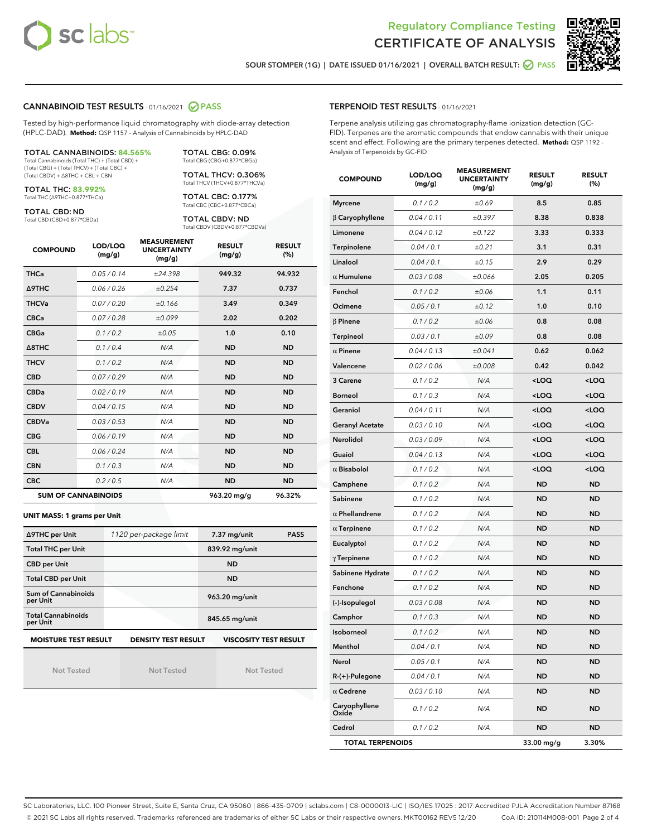



SOUR STOMPER (1G) | DATE ISSUED 01/16/2021 | OVERALL BATCH RESULT: @ PASS

## CANNABINOID TEST RESULTS - 01/16/2021 2 PASS

Tested by high-performance liquid chromatography with diode-array detection (HPLC-DAD). **Method:** QSP 1157 - Analysis of Cannabinoids by HPLC-DAD

| <b>TOTAL CANNABINOIDS: 84.565%</b>             |
|------------------------------------------------|
| Total Cannabinoids (Total THC) + (Total CBD) + |
| (Total CBG) + (Total THCV) + (Total CBC) +     |
| (Total CBDV) + Δ8THC + CBL + CBN               |

TOTAL THC: **83.992%** Total THC (∆9THC+0.877\*THCa)

TOTAL CBD: ND

Total CBD (CBD+0.877\*CBDa)

TOTAL CBG: 0.09% Total CBG (CBG+0.877\*CBGa) TOTAL THCV: 0.306% Total THCV (THCV+0.877\*THCVa)

TOTAL CBC: 0.177% Total CBC (CBC+0.877\*CBCa)

TOTAL CBDV: ND Total CBDV (CBDV+0.877\*CBDVa)

| <b>COMPOUND</b>            | LOD/LOQ<br>(mg/g) | <b>MEASUREMENT</b><br><b>UNCERTAINTY</b><br>(mg/g) | <b>RESULT</b><br>(mg/g) | <b>RESULT</b><br>(%) |
|----------------------------|-------------------|----------------------------------------------------|-------------------------|----------------------|
| <b>THCa</b>                | 0.05/0.14         | ±24.398                                            | 949.32                  | 94.932               |
| <b>A9THC</b>               | 0.06 / 0.26       | ±0.254                                             | 7.37                    | 0.737                |
| <b>THCVa</b>               | 0.07 / 0.20       | ±0.166                                             | 3.49                    | 0.349                |
| <b>CBCa</b>                | 0.07/0.28         | ±0.099                                             | 2.02                    | 0.202                |
| <b>CBGa</b>                | 0.1/0.2           | ±0.05                                              | 1.0                     | 0.10                 |
| $\triangle$ 8THC           | 0.1/0.4           | N/A                                                | <b>ND</b>               | <b>ND</b>            |
| <b>THCV</b>                | 0.1 / 0.2         | N/A                                                | <b>ND</b>               | <b>ND</b>            |
| <b>CBD</b>                 | 0.07/0.29         | N/A                                                | <b>ND</b>               | <b>ND</b>            |
| <b>CBDa</b>                | 0.02/0.19         | N/A                                                | <b>ND</b>               | <b>ND</b>            |
| <b>CBDV</b>                | 0.04 / 0.15       | N/A                                                | <b>ND</b>               | <b>ND</b>            |
| <b>CBDVa</b>               | 0.03/0.53         | N/A                                                | <b>ND</b>               | <b>ND</b>            |
| <b>CBG</b>                 | 0.06/0.19         | N/A                                                | <b>ND</b>               | <b>ND</b>            |
| <b>CBL</b>                 | 0.06 / 0.24       | N/A                                                | <b>ND</b>               | <b>ND</b>            |
| <b>CBN</b>                 | 0.1/0.3           | N/A                                                | <b>ND</b>               | <b>ND</b>            |
| <b>CBC</b>                 | 0.2 / 0.5         | N/A                                                | <b>ND</b>               | <b>ND</b>            |
| <b>SUM OF CANNABINOIDS</b> |                   |                                                    | 963.20 mg/g             | 96.32%               |

#### **UNIT MASS: 1 grams per Unit**

| ∆9THC per Unit                                                                            | 1120 per-package limit | 7.37 mg/unit<br><b>PASS</b> |  |  |  |
|-------------------------------------------------------------------------------------------|------------------------|-----------------------------|--|--|--|
| <b>Total THC per Unit</b>                                                                 |                        | 839.92 mg/unit              |  |  |  |
| <b>CBD per Unit</b>                                                                       |                        | <b>ND</b>                   |  |  |  |
| <b>Total CBD per Unit</b>                                                                 |                        | <b>ND</b>                   |  |  |  |
| Sum of Cannabinoids<br>per Unit                                                           |                        | 963.20 mg/unit              |  |  |  |
| <b>Total Cannabinoids</b><br>per Unit                                                     |                        | 845.65 mg/unit              |  |  |  |
| <b>MOISTURE TEST RESULT</b><br><b>VISCOSITY TEST RESULT</b><br><b>DENSITY TEST RESULT</b> |                        |                             |  |  |  |

Not Tested

Not Tested

Not Tested

## TERPENOID TEST RESULTS - 01/16/2021

Terpene analysis utilizing gas chromatography-flame ionization detection (GC-FID). Terpenes are the aromatic compounds that endow cannabis with their unique scent and effect. Following are the primary terpenes detected. **Method:** QSP 1192 - Analysis of Terpenoids by GC-FID

| <b>COMPOUND</b>         | LOD/LOQ<br>(mg/g) | <b>MEASUREMENT</b><br><b>UNCERTAINTY</b><br>(mg/g) | <b>RESULT</b><br>(mg/g)                         | <b>RESULT</b><br>(%) |
|-------------------------|-------------------|----------------------------------------------------|-------------------------------------------------|----------------------|
| <b>Myrcene</b>          | 0.1 / 0.2         | ±0.69                                              | 8.5                                             | 0.85                 |
| $\beta$ Caryophyllene   | 0.04 / 0.11       | ±0.397                                             | 8.38                                            | 0.838                |
| Limonene                | 0.04 / 0.12       | ±0.122                                             | 3.33                                            | 0.333                |
| Terpinolene             | 0.04 / 0.1        | ±0.21                                              | 3.1                                             | 0.31                 |
| Linalool                | 0.04 / 0.1        | ±0.15                                              | 2.9                                             | 0.29                 |
| $\alpha$ Humulene       | 0.03 / 0.08       | ±0.066                                             | 2.05                                            | 0.205                |
| Fenchol                 | 0.1 / 0.2         | ±0.06                                              | 1.1                                             | 0.11                 |
| Ocimene                 | 0.05 / 0.1        | ±0.12                                              | 1.0                                             | 0.10                 |
| $\beta$ Pinene          | 0.1 / 0.2         | ±0.06                                              | 0.8                                             | 0.08                 |
| <b>Terpineol</b>        | 0.03 / 0.1        | ±0.09                                              | 0.8                                             | 0.08                 |
| $\alpha$ Pinene         | 0.04 / 0.13       | ±0.041                                             | 0.62                                            | 0.062                |
| Valencene               | 0.02 / 0.06       | ±0.008                                             | 0.42                                            | 0.042                |
| 3 Carene                | 0.1 / 0.2         | N/A                                                | $<$ LOQ                                         | <loq< td=""></loq<>  |
| <b>Borneol</b>          | 0.1 / 0.3         | N/A                                                | 100                                             | <loq< td=""></loq<>  |
| Geraniol                | 0.04 / 0.11       | N/A                                                | <loq< td=""><td><loq< td=""></loq<></td></loq<> | <loq< td=""></loq<>  |
| <b>Geranyl Acetate</b>  | 0.03 / 0.10       | N/A                                                | $<$ LOQ                                         | $<$ LOQ              |
| Nerolidol               | 0.03 / 0.09       | N/A                                                | <loq< td=""><td><loq< td=""></loq<></td></loq<> | <loq< td=""></loq<>  |
| Guaiol                  | 0.04 / 0.13       | N/A                                                | <loq< td=""><td><loq< td=""></loq<></td></loq<> | <loq< td=""></loq<>  |
| $\alpha$ Bisabolol      | 0.1 / 0.2         | N/A                                                | $<$ LOQ                                         | <loq< td=""></loq<>  |
| Camphene                | 0.1 / 0.2         | N/A                                                | <b>ND</b>                                       | <b>ND</b>            |
| Sabinene                | 0.1 / 0.2         | N/A                                                | ND                                              | ND                   |
| $\alpha$ Phellandrene   | 0.1 / 0.2         | N/A                                                | ND                                              | ND                   |
| $\alpha$ Terpinene      | 0.1 / 0.2         | N/A                                                | <b>ND</b>                                       | ND                   |
| Eucalyptol              | 0.1 / 0.2         | N/A                                                | ND                                              | ND                   |
| $\gamma$ Terpinene      | 0.1 / 0.2         | N/A                                                | ND                                              | ND                   |
| Sabinene Hydrate        | 0.1 / 0.2         | N/A                                                | <b>ND</b>                                       | ND                   |
| Fenchone                | 0.1 / 0.2         | N/A                                                | ND                                              | ND                   |
| (-)-Isopulegol          | 0.03 / 0.08       | N/A                                                | ND                                              | ND                   |
| Camphor                 | 0.1 / 0.3         | N/A                                                | ND                                              | ND                   |
| <b>Isoborneol</b>       | 0.1 / 0.2         | N/A                                                | ND                                              | ND                   |
| Menthol                 | 0.04 / 0.1        | N/A                                                | ND                                              | ND                   |
| Nerol                   | 0.05 / 0.1        | N/A                                                | ND                                              | ND                   |
| R-(+)-Pulegone          | 0.04 / 0.1        | N/A                                                | ND                                              | ND                   |
| $\alpha$ Cedrene        | 0.03 / 0.10       | N/A                                                | ND                                              | ND                   |
| Caryophyllene<br>Oxide  | 0.1 / 0.2         | N/A                                                | ND                                              | ND                   |
| Cedrol                  | 0.1 / 0.2         | N/A                                                | ND                                              | ND                   |
| <b>TOTAL TERPENOIDS</b> |                   |                                                    | 33.00 mg/g                                      | 3.30%                |

SC Laboratories, LLC. 100 Pioneer Street, Suite E, Santa Cruz, CA 95060 | 866-435-0709 | sclabs.com | C8-0000013-LIC | ISO/IES 17025 : 2017 Accredited PJLA Accreditation Number 87168 © 2021 SC Labs all rights reserved. Trademarks referenced are trademarks of either SC Labs or their respective owners. MKT00162 REV5 12/20 CoA ID: 210114M008-001 Page 2 of 4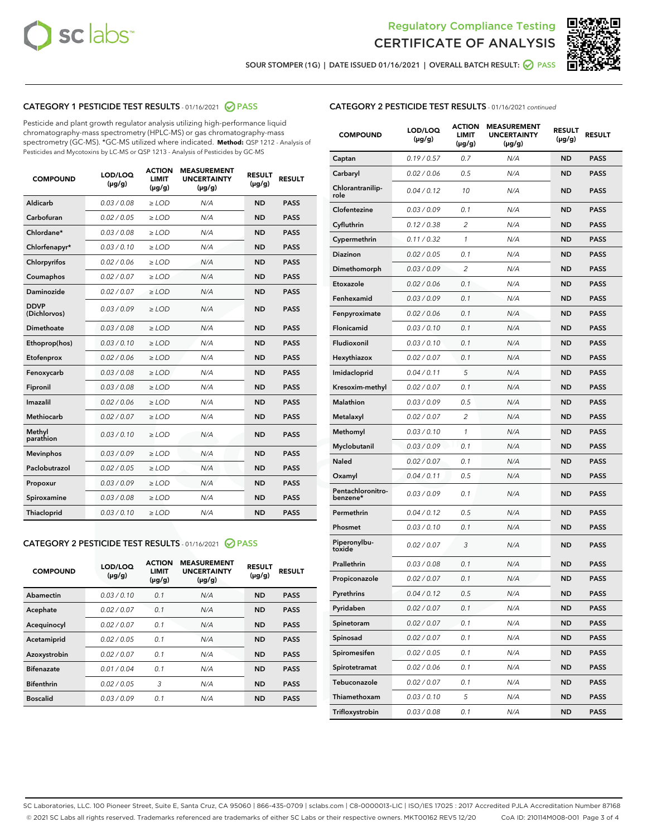



SOUR STOMPER (1G) | DATE ISSUED 01/16/2021 | OVERALL BATCH RESULT: @ PASS

## CATEGORY 1 PESTICIDE TEST RESULTS - 01/16/2021 2 PASS

Pesticide and plant growth regulator analysis utilizing high-performance liquid chromatography-mass spectrometry (HPLC-MS) or gas chromatography-mass spectrometry (GC-MS). \*GC-MS utilized where indicated. **Method:** QSP 1212 - Analysis of Pesticides and Mycotoxins by LC-MS or QSP 1213 - Analysis of Pesticides by GC-MS

| <b>COMPOUND</b>             | LOD/LOQ<br>$(\mu g/g)$ | <b>ACTION</b><br><b>LIMIT</b><br>$(\mu q/q)$ | <b>MEASUREMENT</b><br><b>UNCERTAINTY</b><br>$(\mu g/g)$ | <b>RESULT</b><br>$(\mu g/g)$ | <b>RESULT</b> |
|-----------------------------|------------------------|----------------------------------------------|---------------------------------------------------------|------------------------------|---------------|
| Aldicarb                    | 0.03 / 0.08            | $\ge$ LOD                                    | N/A                                                     | <b>ND</b>                    | <b>PASS</b>   |
| Carbofuran                  | 0.02 / 0.05            | $\ge$ LOD                                    | N/A                                                     | <b>ND</b>                    | <b>PASS</b>   |
| Chlordane*                  | 0.03 / 0.08            | $\ge$ LOD                                    | N/A                                                     | <b>ND</b>                    | <b>PASS</b>   |
| Chlorfenapyr*               | 0.03/0.10              | $\ge$ LOD                                    | N/A                                                     | <b>ND</b>                    | <b>PASS</b>   |
| Chlorpyrifos                | 0.02 / 0.06            | $\ge$ LOD                                    | N/A                                                     | <b>ND</b>                    | <b>PASS</b>   |
| Coumaphos                   | 0.02 / 0.07            | $\ge$ LOD                                    | N/A                                                     | <b>ND</b>                    | <b>PASS</b>   |
| Daminozide                  | 0.02 / 0.07            | $\ge$ LOD                                    | N/A                                                     | <b>ND</b>                    | <b>PASS</b>   |
| <b>DDVP</b><br>(Dichlorvos) | 0.03/0.09              | $\ge$ LOD                                    | N/A                                                     | <b>ND</b>                    | <b>PASS</b>   |
| Dimethoate                  | 0.03 / 0.08            | $\ge$ LOD                                    | N/A                                                     | <b>ND</b>                    | <b>PASS</b>   |
| Ethoprop(hos)               | 0.03/0.10              | $\ge$ LOD                                    | N/A                                                     | <b>ND</b>                    | <b>PASS</b>   |
| Etofenprox                  | 0.02/0.06              | $>$ LOD                                      | N/A                                                     | <b>ND</b>                    | <b>PASS</b>   |
| Fenoxycarb                  | 0.03 / 0.08            | $\ge$ LOD                                    | N/A                                                     | <b>ND</b>                    | <b>PASS</b>   |
| Fipronil                    | 0.03/0.08              | $>$ LOD                                      | N/A                                                     | <b>ND</b>                    | <b>PASS</b>   |
| Imazalil                    | 0.02 / 0.06            | $\ge$ LOD                                    | N/A                                                     | <b>ND</b>                    | <b>PASS</b>   |
| Methiocarb                  | 0.02 / 0.07            | $\ge$ LOD                                    | N/A                                                     | <b>ND</b>                    | <b>PASS</b>   |
| Methyl<br>parathion         | 0.03/0.10              | $>$ LOD                                      | N/A                                                     | <b>ND</b>                    | <b>PASS</b>   |
| <b>Mevinphos</b>            | 0.03/0.09              | $>$ LOD                                      | N/A                                                     | <b>ND</b>                    | <b>PASS</b>   |
| Paclobutrazol               | 0.02 / 0.05            | $>$ LOD                                      | N/A                                                     | <b>ND</b>                    | <b>PASS</b>   |
| Propoxur                    | 0.03/0.09              | $\ge$ LOD                                    | N/A                                                     | <b>ND</b>                    | <b>PASS</b>   |
| Spiroxamine                 | 0.03 / 0.08            | $\ge$ LOD                                    | N/A                                                     | <b>ND</b>                    | <b>PASS</b>   |
| Thiacloprid                 | 0.03/0.10              | $\ge$ LOD                                    | N/A                                                     | <b>ND</b>                    | <b>PASS</b>   |

#### CATEGORY 2 PESTICIDE TEST RESULTS - 01/16/2021 @ PASS

| <b>COMPOUND</b>   | LOD/LOQ<br>$(\mu g/g)$ | <b>ACTION</b><br><b>LIMIT</b><br>$(\mu g/g)$ | <b>MEASUREMENT</b><br><b>UNCERTAINTY</b><br>$(\mu g/g)$ | <b>RESULT</b><br>$(\mu g/g)$ | <b>RESULT</b> |
|-------------------|------------------------|----------------------------------------------|---------------------------------------------------------|------------------------------|---------------|
| Abamectin         | 0.03/0.10              | 0.1                                          | N/A                                                     | <b>ND</b>                    | <b>PASS</b>   |
| Acephate          | 0.02/0.07              | 0.1                                          | N/A                                                     | <b>ND</b>                    | <b>PASS</b>   |
| Acequinocyl       | 0.02/0.07              | 0.1                                          | N/A                                                     | <b>ND</b>                    | <b>PASS</b>   |
| Acetamiprid       | 0.02/0.05              | 0.1                                          | N/A                                                     | <b>ND</b>                    | <b>PASS</b>   |
| Azoxystrobin      | 0.02/0.07              | 0.1                                          | N/A                                                     | <b>ND</b>                    | <b>PASS</b>   |
| <b>Bifenazate</b> | 0.01/0.04              | 0.1                                          | N/A                                                     | <b>ND</b>                    | <b>PASS</b>   |
| <b>Bifenthrin</b> | 0.02/0.05              | 3                                            | N/A                                                     | <b>ND</b>                    | <b>PASS</b>   |
| <b>Boscalid</b>   | 0.03/0.09              | 0.1                                          | N/A                                                     | <b>ND</b>                    | <b>PASS</b>   |

| <b>CATEGORY 2 PESTICIDE TEST RESULTS</b> - 01/16/2021 continued |
|-----------------------------------------------------------------|
|-----------------------------------------------------------------|

| <b>COMPOUND</b>               | LOD/LOQ<br>(µg/g) | <b>ACTION</b><br>LIMIT<br>(µg/g) | <b>MEASUREMENT</b><br><b>UNCERTAINTY</b><br>$(\mu g/g)$ | <b>RESULT</b><br>(µg/g) | <b>RESULT</b> |
|-------------------------------|-------------------|----------------------------------|---------------------------------------------------------|-------------------------|---------------|
| Captan                        | 0.19/0.57         | 0.7                              | N/A                                                     | ND                      | <b>PASS</b>   |
| Carbaryl                      | 0.02 / 0.06       | 0.5                              | N/A                                                     | ND                      | <b>PASS</b>   |
| Chlorantranilip-<br>role      | 0.04 / 0.12       | 10                               | N/A                                                     | ND                      | <b>PASS</b>   |
| Clofentezine                  | 0.03 / 0.09       | 0.1                              | N/A                                                     | ND                      | <b>PASS</b>   |
| Cyfluthrin                    | 0.12 / 0.38       | 2                                | N/A                                                     | ND                      | <b>PASS</b>   |
| Cypermethrin                  | 0.11 / 0.32       | 1                                | N/A                                                     | ND                      | <b>PASS</b>   |
| Diazinon                      | 0.02 / 0.05       | 0.1                              | N/A                                                     | <b>ND</b>               | <b>PASS</b>   |
| Dimethomorph                  | 0.03 / 0.09       | 2                                | N/A                                                     | ND                      | <b>PASS</b>   |
| Etoxazole                     | 0.02 / 0.06       | 0.1                              | N/A                                                     | ND                      | <b>PASS</b>   |
| Fenhexamid                    | 0.03 / 0.09       | 0.1                              | N/A                                                     | ND                      | <b>PASS</b>   |
| Fenpyroximate                 | 0.02 / 0.06       | 0.1                              | N/A                                                     | ND                      | <b>PASS</b>   |
| Flonicamid                    | 0.03 / 0.10       | 0.1                              | N/A                                                     | ND                      | <b>PASS</b>   |
| Fludioxonil                   | 0.03 / 0.10       | 0.1                              | N/A                                                     | <b>ND</b>               | <b>PASS</b>   |
| Hexythiazox                   | 0.02 / 0.07       | 0.1                              | N/A                                                     | ND                      | <b>PASS</b>   |
| Imidacloprid                  | 0.04 / 0.11       | 5                                | N/A                                                     | ND                      | <b>PASS</b>   |
| Kresoxim-methyl               | 0.02 / 0.07       | 0.1                              | N/A                                                     | ND                      | <b>PASS</b>   |
| <b>Malathion</b>              | 0.03 / 0.09       | 0.5                              | N/A                                                     | ND                      | <b>PASS</b>   |
| Metalaxyl                     | 0.02 / 0.07       | 2                                | N/A                                                     | ND                      | <b>PASS</b>   |
| Methomyl                      | 0.03 / 0.10       | 1                                | N/A                                                     | <b>ND</b>               | <b>PASS</b>   |
| Myclobutanil                  | 0.03 / 0.09       | 0.1                              | N/A                                                     | ND                      | <b>PASS</b>   |
| Naled                         | 0.02 / 0.07       | 0.1                              | N/A                                                     | ND                      | <b>PASS</b>   |
| Oxamyl                        | 0.04 / 0.11       | 0.5                              | N/A                                                     | ND                      | <b>PASS</b>   |
| Pentachloronitro-<br>benzene* | 0.03 / 0.09       | 0.1                              | N/A                                                     | ND                      | <b>PASS</b>   |
| Permethrin                    | 0.04 / 0.12       | 0.5                              | N/A                                                     | ND                      | <b>PASS</b>   |
| Phosmet                       | 0.03 / 0.10       | 0.1                              | N/A                                                     | ND                      | PASS          |
| Piperonylbu-<br>toxide        | 0.02 / 0.07       | 3                                | N/A                                                     | ND                      | <b>PASS</b>   |
| Prallethrin                   | 0.03 / 0.08       | 0.1                              | N/A                                                     | ND                      | <b>PASS</b>   |
| Propiconazole                 | 0.02 / 0.07       | 0.1                              | N/A                                                     | ND                      | <b>PASS</b>   |
| Pyrethrins                    | 0.04 / 0.12       | 0.5                              | N/A                                                     | ND                      | <b>PASS</b>   |
| Pyridaben                     | 0.02 / 0.07       | 0.1                              | N/A                                                     | ND                      | <b>PASS</b>   |
| Spinetoram                    | 0.02 / 0.07       | 0.1                              | N/A                                                     | ND                      | <b>PASS</b>   |
| Spinosad                      | 0.02 / 0.07       | 0.1                              | N/A                                                     | ND                      | <b>PASS</b>   |
| Spiromesifen                  | 0.02 / 0.05       | 0.1                              | N/A                                                     | ND                      | <b>PASS</b>   |
| Spirotetramat                 | 0.02 / 0.06       | 0.1                              | N/A                                                     | ND                      | <b>PASS</b>   |
| Tebuconazole                  | 0.02 / 0.07       | 0.1                              | N/A                                                     | ND                      | <b>PASS</b>   |
| Thiamethoxam                  | 0.03 / 0.10       | 5                                | N/A                                                     | ND                      | <b>PASS</b>   |
| Trifloxystrobin               | 0.03 / 0.08       | 0.1                              | N/A                                                     | ND                      | <b>PASS</b>   |